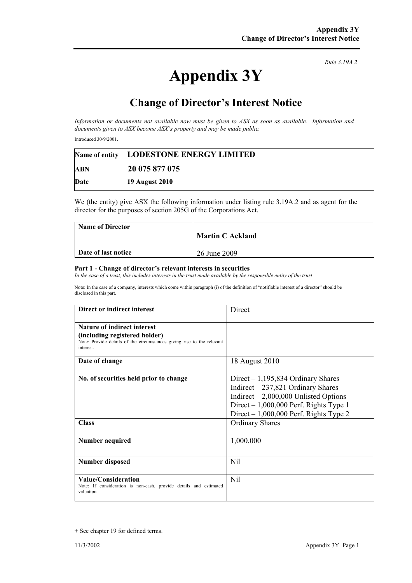## **Appendix 3Y**

*Rule 3.19A.2*

## **Change of Director's Interest Notice**

*Information or documents not available now must be given to ASX as soon as available. Information and documents given to ASX become ASX's property and may be made public.* 

Introduced 30/9/2001.

|      | Name of entity LODESTONE ENERGY LIMITED |  |
|------|-----------------------------------------|--|
| ABN  | 20 075 877 075                          |  |
| Date | 19 August 2010                          |  |

We (the entity) give ASX the following information under listing rule 3.19A.2 and as agent for the director for the purposes of section 205G of the Corporations Act.

| <b>Name of Director</b> |                         |
|-------------------------|-------------------------|
|                         | <b>Martin C Ackland</b> |
|                         |                         |
| Date of last notice     | 26 June 2009            |

## **Part 1 - Change of director's relevant interests in securities**

In the case of a trust, this includes interests in the trust made available by the responsible entity of the trust

Note: In the case of a company, interests which come within paragraph (i) of the definition of "notifiable interest of a director" should be disclosed in this part.

| Direct or indirect interest                                                                                                                               | Direct                                                                                                                                                                                                     |
|-----------------------------------------------------------------------------------------------------------------------------------------------------------|------------------------------------------------------------------------------------------------------------------------------------------------------------------------------------------------------------|
| <b>Nature of indirect interest</b><br>(including registered holder)<br>Note: Provide details of the circumstances giving rise to the relevant<br>interest |                                                                                                                                                                                                            |
| Date of change                                                                                                                                            | 18 August 2010                                                                                                                                                                                             |
| No. of securities held prior to change                                                                                                                    | Direct $-1,195,834$ Ordinary Shares<br>Indirect $-237,821$ Ordinary Shares<br>Indirect $-2,000,000$ Unlisted Options<br>Direct $-1,000,000$ Perf. Rights Type 1<br>Direct $-1,000,000$ Perf. Rights Type 2 |
| <b>Class</b>                                                                                                                                              | <b>Ordinary Shares</b>                                                                                                                                                                                     |
| Number acquired                                                                                                                                           | 1,000,000                                                                                                                                                                                                  |
| Number disposed                                                                                                                                           | Nil                                                                                                                                                                                                        |
| Value/Consideration<br>Note: If consideration is non-cash, provide details and estimated<br>valuation                                                     | Nil                                                                                                                                                                                                        |

<sup>+</sup> See chapter 19 for defined terms.